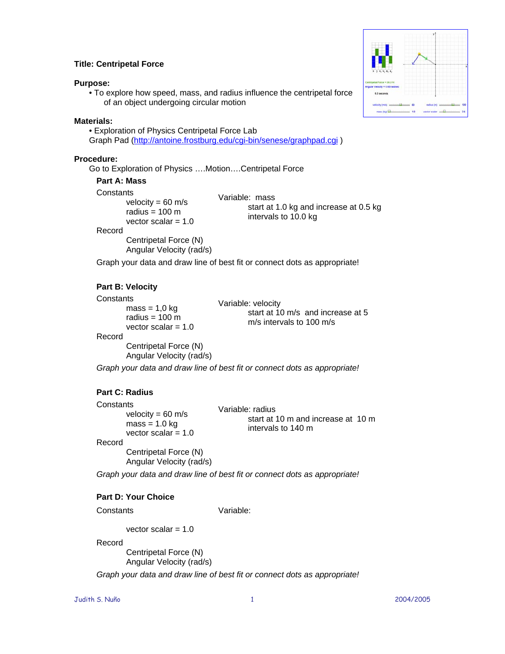# **Title: Centripetal Force**

## **Purpose:**

• To explore how speed, mass, and radius influence the centripetal force of an object undergoing circular motion

## **Materials:**

• Exploration of Physics Centripetal Force Lab Graph Pad [\(http://antoine.frostburg.edu/cgi-bin/senese/graphpad.cgi](http://antoine.frostburg.edu/cgi-bin/senese/graphpad.cgi) )

## **Procedure:**

Go to Exploration of Physics ….Motion….Centripetal Force

## **Part A: Mass**

**Constants** 

velocity  $= 60$  m/s radius  $= 100$  m vector scalar = 1.0

## Record

Centripetal Force (N) Angular Velocity (rad/s) Variable: mass start at 1.0 kg and increase at 0.5 kg intervals to 10.0 kg

Graph your data and draw line of best fit or connect dots as appropriate!

# **Part B: Velocity**

## **Constants**

 $mass = 1.0 kg$ radius  $= 100$  m vector scalar  $= 1.0$  Variable: velocity start at 10 m/s and increase at 5 m/s intervals to 100 m/s

#### Record

Centripetal Force (N) Angular Velocity (rad/s)

*Graph your data and draw line of best fit or connect dots as appropriate!* 

# **Part C: Radius**

**Constants** velocity =  $60 \text{ m/s}$  $mass = 1.0$  kg vector scalar  $= 1.0$ Variable: radius start at 10 m and increase at 10 m intervals to 140 m Record Centripetal Force (N) Angular Velocity (rad/s)

*Graph your data and draw line of best fit or connect dots as appropriate!* 

# **Part D: Your Choice**

**Constants** 

Variable:

vector scalar  $= 1.0$ 

Record

Centripetal Force (N) Angular Velocity (rad/s)

*Graph your data and draw line of best fit or connect dots as appropriate!* 

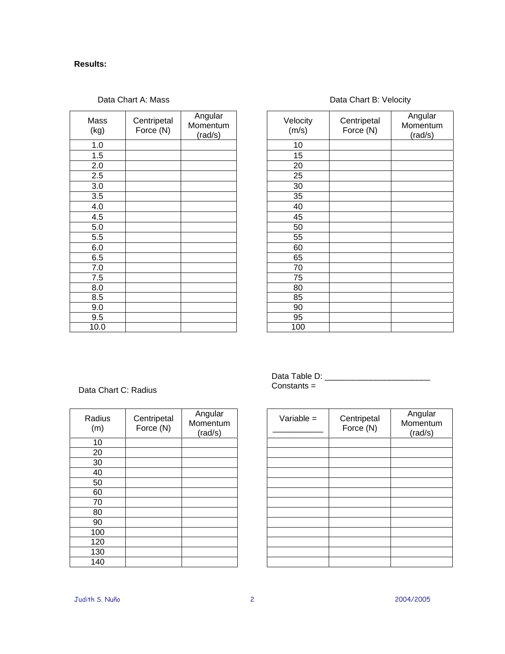# **Results:**

| Mass<br>(kg) | Centripetal<br>Force (N) | Angular<br>Momentum<br>(rad/s) | Veloci<br>(m/s) |
|--------------|--------------------------|--------------------------------|-----------------|
| 1.0          |                          |                                | 10              |
| 1.5          |                          |                                | 15              |
| 2.0          |                          |                                | 20              |
| 2.5          |                          |                                | 25              |
| 3.0          |                          |                                | 30              |
| 3.5          |                          |                                | 35              |
| 4.0          |                          |                                | 40              |
| 4.5          |                          |                                | 45              |
| 5.0          |                          |                                | 50              |
| 5.5          |                          |                                | 55              |
| 6.0          |                          |                                | 60              |
| 6.5          |                          |                                | 65              |
| 7.0          |                          |                                | 70              |
| 7.5          |                          |                                | 75              |
| 8.0          |                          |                                | 80              |
| 8.5          |                          |                                | 85              |
| 9.0          |                          |                                | 90              |
| 9.5          |                          |                                | 95              |
| 10.0         |                          |                                | 100             |

# Data Chart A: Mass **Data Chart B: Velocity**

| Velocity<br>(m/s) | Centripetal<br>Force (N) | Angular<br>Momentum<br>(rad/s) |
|-------------------|--------------------------|--------------------------------|
| 10                |                          |                                |
| 15                |                          |                                |
| 20                |                          |                                |
| 25                |                          |                                |
| 30                |                          |                                |
| 35                |                          |                                |
| 40                |                          |                                |
| 45                |                          |                                |
| 50                |                          |                                |
| 55                |                          |                                |
| 60                |                          |                                |
| 65                |                          |                                |
| 70                |                          |                                |
| 75                |                          |                                |
| 80                |                          |                                |
| 85                |                          |                                |
| 90                |                          |                                |
| 95                |                          |                                |
| 100               |                          |                                |

# Data Chart C: Radius

| Radius<br>(m) | Centripetal<br>Force (N) | Angular<br>Momentum<br>(rad/s) |
|---------------|--------------------------|--------------------------------|
| 10            |                          |                                |
| 20            |                          |                                |
| 30            |                          |                                |
| 40            |                          |                                |
| 50            |                          |                                |
| 60            |                          |                                |
| 70            |                          |                                |
| 80            |                          |                                |
| 90            |                          |                                |
| 100           |                          |                                |
| 120           |                          |                                |
| 130           |                          |                                |
| 140           |                          |                                |

Data Table D: \_\_\_\_\_\_\_\_\_\_\_\_\_\_\_\_\_\_\_\_\_\_\_ Constants =

| Variable $=$ | Centripetal<br>Force (N) | Angular<br>Momentum<br>(rad/s) |
|--------------|--------------------------|--------------------------------|
|              |                          |                                |
|              |                          |                                |
|              |                          |                                |
|              |                          |                                |
|              |                          |                                |
|              |                          |                                |
|              |                          |                                |
|              |                          |                                |
|              |                          |                                |
|              |                          |                                |